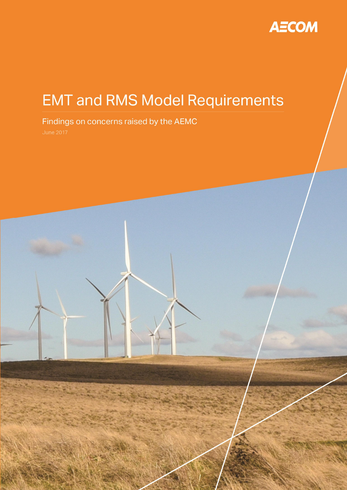

# **EMT** and RMS Model Requirements

# Findings on concerns raised by the AEMC

16-Jun-2017

Prepared for – Australian Energy Market Commission – ABN: 49 236 270 144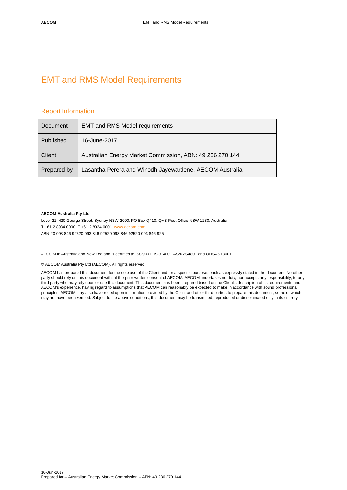# EMT and RMS Model Requirements

#### Report Information

| Document    | <b>EMT and RMS Model requirements</b>                    |  |
|-------------|----------------------------------------------------------|--|
| Published   | 16-June-2017                                             |  |
| Client      | Australian Energy Market Commission, ABN: 49 236 270 144 |  |
| Prepared by | Lasantha Perera and Winodh Jayewardene, AECOM Australia  |  |

#### **AECOM Australia Pty Ltd**

Level 21, 420 George Street, Sydney NSW 2000, PO Box Q410, QVB Post Office NSW 1230, Australia

T +61 2 8934 0000 F +61 2 8934 0001 [www.aecom.com](http://www.aecom.com/)

ABN 20 093 846 92520 093 846 92520 093 846 92520 093 846 925

AECOM in Australia and New Zealand is certified to ISO9001, ISO14001 AS/NZS4801 and OHSAS18001.

© AECOM Australia Pty Ltd (AECOM). All rights reserved.

AECOM has prepared this document for the sole use of the Client and for a specific purpose, each as expressly stated in the document. No other party should rely on this document without the prior written consent of AECOM. AECOM undertakes no duty, nor accepts any responsibility, to any third party who may rely upon or use this document. This document has been prepared based on the Client's description of its requirements and AECOM's experience, having regard to assumptions that AECOM can reasonably be expected to make in accordance with sound professional principles. AECOM may also have relied upon information provided by the Client and other third parties to prepare this document, some of which may not have been verified. Subject to the above conditions, this document may be transmitted, reproduced or disseminated only in its entirety.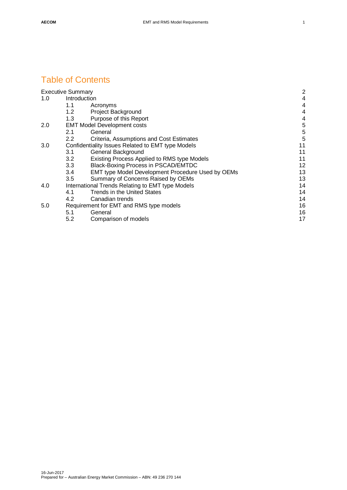# Table of Contents

|     | <b>Executive Summary</b>                          |                                                   | $\overline{2}$ |
|-----|---------------------------------------------------|---------------------------------------------------|----------------|
| 1.0 |                                                   | Introduction                                      | 4              |
|     | 1.1                                               | Acronyms                                          | 4              |
|     | 1.2                                               | Project Background                                | 4              |
|     | 1.3                                               | Purpose of this Report                            | 4              |
| 2.0 | <b>EMT Model Development costs</b>                |                                                   | 5              |
|     | 2.1                                               | General                                           | 5              |
|     | $2.2\,$                                           | Criteria, Assumptions and Cost Estimates          | 5              |
| 3.0 | Confidentiality Issues Related to EMT type Models |                                                   | 11             |
|     | 3.1                                               | General Background                                | 11             |
|     | 3.2                                               | Existing Process Applied to RMS type Models       | 11             |
|     | 3.3                                               | Black-Boxing Process in PSCAD/EMTDC               | 12             |
|     | 3.4                                               | EMT type Model Development Procedure Used by OEMs | 13             |
|     | 3.5                                               | Summary of Concerns Raised by OEMs                | 13             |
| 4.0 | International Trends Relating to EMT type Models  |                                                   | 14             |
|     | 4.1                                               | <b>Trends in the United States</b>                | 14             |
|     | 4.2                                               | Canadian trends                                   | 14             |
| 5.0 | Requirement for EMT and RMS type models           |                                                   | 16             |
|     | 5.1                                               | General                                           | 16             |
|     | 5.2                                               | Comparison of models                              | 17             |
|     |                                                   |                                                   |                |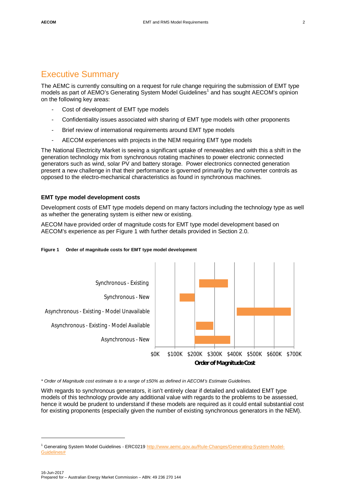<span id="page-3-0"></span>The AEMC is currently consulting on a request for rule change requiring the submission of EMT type models as part of AEMO's Generating System Model Guidelines<sup>[1](#page-3-2)</sup> and has sought AECOM's opinion on the following key areas:

- Cost of development of EMT type models
- Confidentiality issues associated with sharing of EMT type models with other proponents
- Brief review of international requirements around EMT type models
- AECOM experiences with projects in the NEM requiring EMT type models

The National Electricity Market is seeing a significant uptake of renewables and with this a shift in the generation technology mix from synchronous rotating machines to power electronic connected generators such as wind, solar PV and battery storage. Power electronics connected generation present a new challenge in that their performance is governed primarily by the converter controls as opposed to the electro-mechanical characteristics as found in synchronous machines.

#### **EMT type model development costs**

Development costs of EMT type models depend on many factors including the technology type as well as whether the generating system is either new or existing.

AECOM have provided order of magnitude costs for EMT type model development based on AECOM's experience as per [Figure 1](#page-3-1) with further details provided in Section [2.0](#page-6-0).



<span id="page-3-1"></span>

*\* Order of Magnitude cost estimate is to a range of ±50% as defined in AECOM's Estimate Guidelines.*

With regards to synchronous generators, it isn't entirely clear if detailed and validated EMT type models of this technology provide any additional value with regards to the problems to be assessed, hence it would be prudent to understand if these models are required as it could entail substantial cost for existing proponents (especially given the number of existing synchronous generators in the NEM).

<span id="page-3-2"></span><sup>&</sup>lt;sup>1</sup> Generating System Model Guidelines - ERC0219 [http://www.aemc.gov.au/Rule-Changes/Generating-System-Model-](http://www.aemc.gov.au/Rule-Changes/Generating-System-Model-Guidelines)Guidelines#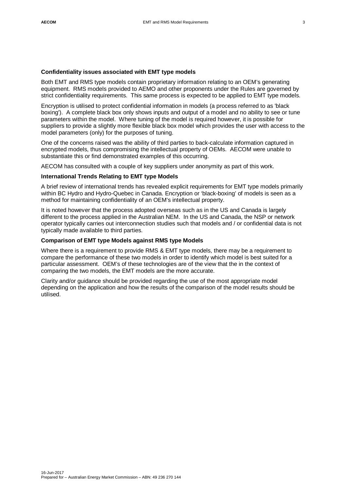#### **Confidentiality issues associated with EMT type models**

Both EMT and RMS type models contain proprietary information relating to an OEM's generating equipment. RMS models provided to AEMO and other proponents under the Rules are governed by strict confidentiality requirements. This same process is expected to be applied to EMT type models.

Encryption is utilised to protect confidential information in models (a process referred to as 'black boxing'). A complete black box only shows inputs and output of a model and no ability to see or tune parameters within the model. Where tuning of the model is required however, it is possible for suppliers to provide a slightly more flexible black box model which provides the user with access to the model parameters (only) for the purposes of tuning.

One of the concerns raised was the ability of third parties to back-calculate information captured in encrypted models, thus compromising the intellectual property of OEMs. AECOM were unable to substantiate this or find demonstrated examples of this occurring.

AECOM has consulted with a couple of key suppliers under anonymity as part of this work.

#### **International Trends Relating to EMT type Models**

A brief review of international trends has revealed explicit requirements for EMT type models primarily within BC Hydro and Hydro-Quebec in Canada. Encryption or 'black-boxing' of models is seen as a method for maintaining confidentiality of an OEM's intellectual property.

It is noted however that the process adopted overseas such as in the US and Canada is largely different to the process applied in the Australian NEM. In the US and Canada, the NSP or network operator typically carries out interconnection studies such that models and / or confidential data is not typically made available to third parties.

#### **Comparison of EMT type Models against RMS type Models**

Where there is a requirement to provide RMS & EMT type models, there may be a requirement to compare the performance of these two models in order to identify which model is best suited for a particular assessment. OEM's of these technologies are of the view that the in the context of comparing the two models, the EMT models are the more accurate.

Clarity and/or guidance should be provided regarding the use of the most appropriate model depending on the application and how the results of the comparison of the model results should be utilised.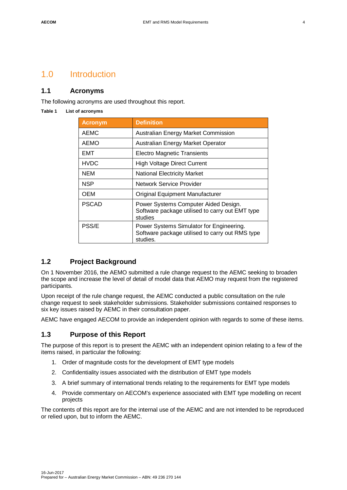# <span id="page-5-0"></span>1.0 Introduction

### **1.1 Acronyms**

The following acronyms are used throughout this report.

#### **Table 1 List of acronyms**

<span id="page-5-1"></span>

| <b>Acronym</b> | <b>Definition</b>                                                                                       |
|----------------|---------------------------------------------------------------------------------------------------------|
| <b>AEMC</b>    | Australian Energy Market Commission                                                                     |
| <b>AEMO</b>    | Australian Energy Market Operator                                                                       |
| EMT            | <b>Electro Magnetic Transients</b>                                                                      |
| <b>HVDC</b>    | <b>High Voltage Direct Current</b>                                                                      |
| NEM            | <b>National Electricity Market</b>                                                                      |
| NSP            | Network Service Provider                                                                                |
| OEM            | Original Equipment Manufacturer                                                                         |
| <b>PSCAD</b>   | Power Systems Computer Aided Design.<br>Software package utilised to carry out EMT type<br>studies      |
| <b>PSS/E</b>   | Power Systems Simulator for Engineering.<br>Software package utilised to carry out RMS type<br>studies. |

### <span id="page-5-2"></span>**1.2 Project Background**

On 1 November 2016, the AEMO submitted a rule change request to the AEMC seeking to broaden the scope and increase the level of detail of model data that AEMO may request from the registered participants.

Upon receipt of the rule change request, the AEMC conducted a public consultation on the rule change request to seek stakeholder submissions. Stakeholder submissions contained responses to six key issues raised by AEMC in their consultation paper.

AEMC have engaged AECOM to provide an independent opinion with regards to some of these items.

### <span id="page-5-3"></span>**1.3 Purpose of this Report**

The purpose of this report is to present the AEMC with an independent opinion relating to a few of the items raised, in particular the following:

- 1. Order of magnitude costs for the development of EMT type models
- 2. Confidentiality issues associated with the distribution of EMT type models
- 3. A brief summary of international trends relating to the requirements for EMT type models
- 4. Provide commentary on AECOM's experience associated with EMT type modelling on recent projects

The contents of this report are for the internal use of the AEMC and are not intended to be reproduced or relied upon, but to inform the AEMC.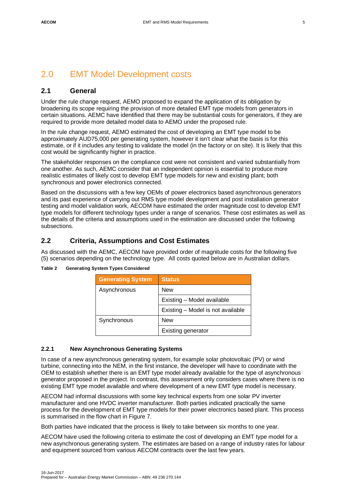# <span id="page-6-0"></span>2.0 EMT Model Development costs

# <span id="page-6-1"></span>**2.1 General**

Under the rule change request, AEMO proposed to expand the application of its obligation by broadening its scope requiring the provision of more detailed EMT type models from generators in certain situations. AEMC have identified that there may be substantial costs for generators, if they are required to provide more detailed model data to AEMO under the proposed rule.

In the rule change request, AEMO estimated the cost of developing an EMT type model to be approximately AUD75,000 per generating system, however it isn't clear what the basis is for this estimate, or if it includes any testing to validate the model (in the factory or on site). It is likely that this cost would be significantly higher in practice.

The stakeholder responses on the compliance cost were not consistent and varied substantially from one another. As such, AEMC consider that an independent opinion is essential to produce more realistic estimates of likely cost to develop EMT type models for new and existing plant; both synchronous and power electronics connected.

Based on the discussions with a few key OEMs of power electronics based asynchronous generators and its past experience of carrying out RMS type model development and post installation generator testing and model validation work, AECOM have estimated the order magnitude cost to develop EMT type models for different technology types under a range of scenarios. These cost estimates as well as the details of the criteria and assumptions used in the estimation are discussed under the following subsections.

# <span id="page-6-2"></span>**2.2 Criteria, Assumptions and Cost Estimates**

As discussed with the AEMC, AECOM have provided order of magnitude costs for the following five (5) scenarios depending on the technology type. All costs quoted below are in Australian dollars.

| <b>Generating System</b> | <b>Status</b>                     |
|--------------------------|-----------------------------------|
| Asynchronous             | <b>New</b>                        |
|                          | Existing - Model available        |
|                          | Existing - Model is not available |
| Synchronous              | <b>New</b>                        |
|                          | <b>Existing generator</b>         |

#### **Table 2 Generating System Types Considered**

#### **2.2.1 New Asynchronous Generating Systems**

In case of a new asynchronous generating system, for example solar photovoltaic (PV) or wind turbine, connecting into the NEM, in the first instance, the developer will have to coordinate with the OEM to establish whether there is an EMT type model already available for the type of asynchronous generator proposed in the project. In contrast, this assessment only considers cases where there is no existing EMT type model available and where development of a new EMT type model is necessary.

AECOM had informal discussions with some key technical experts from one solar PV inverter manufacturer and one HVDC inverter manufacturer. Both parties indicated practically the same process for the development of EMT type models for their power electronics based plant. This process is summarised in the flow chart in [Figure 7](#page-14-2).

Both parties have indicated that the process is likely to take between six months to one year.

AECOM have used the following criteria to estimate the cost of developing an EMT type model for a new asynchronous generating system. The estimates are based on a range of industry rates for labour and equipment sourced from various AECOM contracts over the last few years.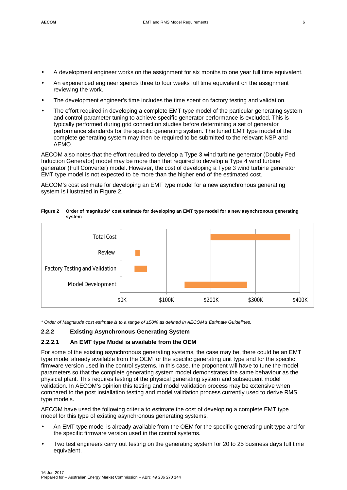- A development engineer works on the assignment for six months to one year full time equivalent.
- An experienced engineer spends three to four weeks full time equivalent on the assignment reviewing the work.
- The development engineer's time includes the time spent on factory testing and validation.
- The effort required in developing a complete EMT type model of the particular generating system and control parameter tuning to achieve specific generator performance is excluded. This is typically performed during grid connection studies before determining a set of generator performance standards for the specific generating system. The tuned EMT type model of the complete generating system may then be required to be submitted to the relevant NSP and AEMO.

AECOM also notes that the effort required to develop a Type 3 wind turbine generator (Doubly Fed Induction Generator) model may be more than that required to develop a Type 4 wind turbine generator (Full Converter) model. However, the cost of developing a Type 3 wind turbine generator EMT type model is not expected to be more than the higher end of the estimated cost.

AECOM's cost estimate for developing an EMT type model for a new asynchronous generating system is illustrated in [Figure 2.](#page-7-0)

<span id="page-7-0"></span>**Figure 2 Order of magnitude\* cost estimate for developing an EMT type model for a new asynchronous generating system**



*\* Order of Magnitude cost estimate is to a range of ±50% as defined in AECOM's Estimate Guidelines.*

#### **2.2.2 Existing Asynchronous Generating System**

#### **2.2.2.1 An EMT type Model is available from the OEM**

For some of the existing asynchronous generating systems, the case may be, there could be an EMT type model already available from the OEM for the specific generating unit type and for the specific firmware version used in the control systems. In this case, the proponent will have to tune the model parameters so that the complete generating system model demonstrates the same behaviour as the physical plant. This requires testing of the physical generating system and subsequent model validation. In AECOM's opinion this testing and model validation process may be extensive when compared to the post installation testing and model validation process currently used to derive RMS type models.

AECOM have used the following criteria to estimate the cost of developing a complete EMT type model for this type of existing asynchronous generating systems.

- An EMT type model is already available from the OEM for the specific generating unit type and for the specific firmware version used in the control systems.
- Two test engineers carry out testing on the generating system for 20 to 25 business days full time equivalent.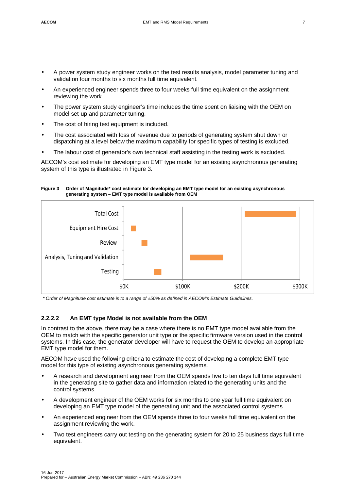- A power system study engineer works on the test results analysis, model parameter tuning and validation four months to six months full time equivalent.
- An experienced engineer spends three to four weeks full time equivalent on the assignment reviewing the work.
- The power system study engineer's time includes the time spent on liaising with the OEM on model set-up and parameter tuning.
- The cost of hiring test equipment is included.
- The cost associated with loss of revenue due to periods of generating system shut down or dispatching at a level below the maximum capability for specific types of testing is excluded.
- The labour cost of generator's own technical staff assisting in the testing work is excluded.

AECOM's cost estimate for developing an EMT type model for an existing asynchronous generating system of this type is illustrated in [Figure 3.](#page-8-0)

<span id="page-8-0"></span>**Figure 3 Order of Magnitude\* cost estimate for developing an EMT type model for an existing asynchronous generating system – EMT type model is available from OEM**



*\* Order of Magnitude cost estimate is to a range of ±50% as defined in AECOM's Estimate Guidelines.*

#### **2.2.2.2 An EMT type Model is not available from the OEM**

In contrast to the above, there may be a case where there is no EMT type model available from the OEM to match with the specific generator unit type or the specific firmware version used in the control systems. In this case, the generator developer will have to request the OEM to develop an appropriate EMT type model for them.

AECOM have used the following criteria to estimate the cost of developing a complete EMT type model for this type of existing asynchronous generating systems.

- A research and development engineer from the OEM spends five to ten days full time equivalent in the generating site to gather data and information related to the generating units and the control systems.
- A development engineer of the OEM works for six months to one year full time equivalent on developing an EMT type model of the generating unit and the associated control systems.
- An experienced engineer from the OEM spends three to four weeks full time equivalent on the assignment reviewing the work.
- Two test engineers carry out testing on the generating system for 20 to 25 business days full time equivalent.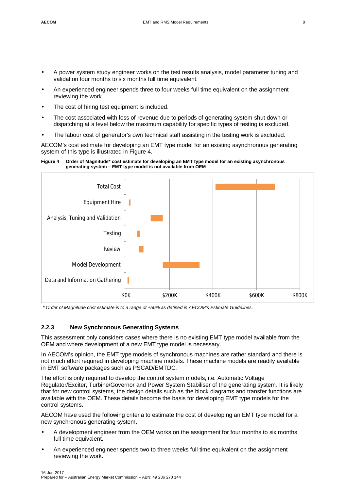- A power system study engineer works on the test results analysis, model parameter tuning and validation four months to six months full time equivalent.
- An experienced engineer spends three to four weeks full time equivalent on the assignment reviewing the work.
- The cost of hiring test equipment is included.
- The cost associated with loss of revenue due to periods of generating system shut down or dispatching at a level below the maximum capability for specific types of testing is excluded.
- The labour cost of generator's own technical staff assisting in the testing work is excluded.

AECOM's cost estimate for developing an EMT type model for an existing asynchronous generating system of this type is illustrated in [Figure 4.](#page-9-0)

<span id="page-9-0"></span>



*\* Order of Magnitude cost estimate is to a range of ±50% as defined in AECOM's Estimate Guidelines.*

#### **2.2.3 New Synchronous Generating Systems**

This assessment only considers cases where there is no existing EMT type model available from the OEM and where development of a new EMT type model is necessary.

In AECOM's opinion, the EMT type models of synchronous machines are rather standard and there is not much effort required in developing machine models. These machine models are readily available in EMT software packages such as PSCAD/EMTDC.

The effort is only required to develop the control system models, i.e. Automatic Voltage Regulator/Exciter, Turbine/Governor and Power System Stabiliser of the generating system. It is likely that for new control systems, the design details such as the block diagrams and transfer functions are available with the OEM. These details become the basis for developing EMT type models for the control systems.

AECOM have used the following criteria to estimate the cost of developing an EMT type model for a new synchronous generating system.

- A development engineer from the OEM works on the assignment for four months to six months full time equivalent.
- An experienced engineer spends two to three weeks full time equivalent on the assignment reviewing the work.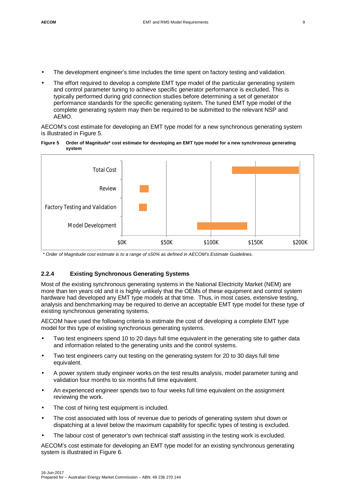- The development engineer's time includes the time spent on factory testing and validation.
- The effort required to develop a complete EMT type model of the particular generating system and control parameter tuning to achieve specific generator performance is excluded. This is typically performed during grid connection studies before determining a set of generator performance standards for the specific generating system. The tuned EMT type model of the complete generating system may then be required to be submitted to the relevant NSP and AEMO.

AECOM's cost estimate for developing an EMT type model for a new synchronous generating system is illustrated in [Figure 5](#page-10-0).

<span id="page-10-0"></span>



*\* Order of Magnitude cost estimate is to a range of ±50% as defined in AECOM's Estimate Guidelines.*

#### **2.2.4 Existing Synchronous Generating Systems**

Most of the existing synchronous generating systems in the National Electricity Market (NEM) are more than ten years old and it is highly unlikely that the OEMs of these equipment and control system hardware had developed any EMT type models at that time. Thus, in most cases, extensive testing, analysis and benchmarking may be required to derive an acceptable EMT type model for these type of existing synchronous generating systems.

AECOM have used the following criteria to estimate the cost of developing a complete EMT type model for this type of existing synchronous generating systems.

- Two test engineers spend 10 to 20 days full time equivalent in the generating site to gather data and information related to the generating units and the control systems.
- Two test engineers carry out testing on the generating system for 20 to 30 days full time equivalent.
- A power system study engineer works on the test results analysis, model parameter tuning and validation four months to six months full time equivalent.
- An experienced engineer spends two to four weeks full time equivalent on the assignment reviewing the work.
- The cost of hiring test equipment is included.
- The cost associated with loss of revenue due to periods of generating system shut down or dispatching at a level below the maximum capability for specific types of testing is excluded.
- The labour cost of generator's own technical staff assisting in the testing work is excluded.

AECOM's cost estimate for developing an EMT type model for an existing synchronous generating system is illustrated in [Figure 6.](#page-11-0)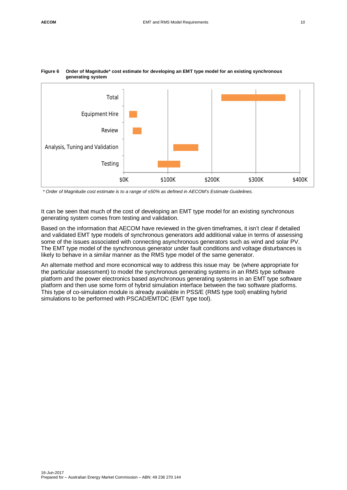

#### <span id="page-11-0"></span>**Figure 6 Order of Magnitude\* cost estimate for developing an EMT type model for an existing synchronous generating system**

*\* Order of Magnitude cost estimate is to a range of ±50% as defined in AECOM's Estimate Guidelines.*

It can be seen that much of the cost of developing an EMT type model for an existing synchronous generating system comes from testing and validation.

Based on the information that AECOM have reviewed in the given timeframes, it isn't clear if detailed and validated EMT type models of synchronous generators add additional value in terms of assessing some of the issues associated with connecting asynchronous generators such as wind and solar PV. The EMT type model of the synchronous generator under fault conditions and voltage disturbances is likely to behave in a similar manner as the RMS type model of the same generator.

An alternate method and more economical way to address this issue may be (where appropriate for the particular assessment) to model the synchronous generating systems in an RMS type software platform and the power electronics based asynchronous generating systems in an EMT type software platform and then use some form of hybrid simulation interface between the two software platforms. This type of co-simulation module is already available in PSS/E (RMS type tool) enabling hybrid simulations to be performed with PSCAD/EMTDC (EMT type tool).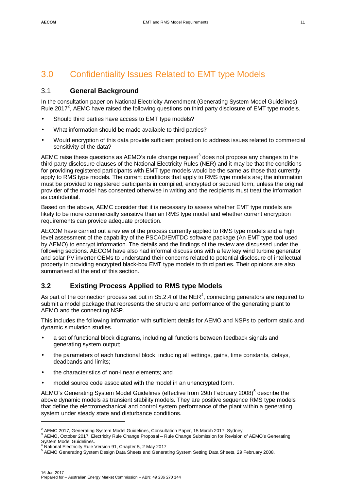# <span id="page-12-0"></span>3.0 Confidentiality Issues Related to EMT type Models

### <span id="page-12-1"></span>3.1 **General Background**

In the consultation paper on National Electricity Amendment (Generating System Model Guidelines) Rule 201[7](#page-12-3)<sup>2</sup>, AEMC have raised the following questions on third party disclosure of EMT type models.

- Should third parties have access to EMT type models?
- What information should be made available to third parties?
- Would encryption of this data provide sufficient protection to address issues related to commercial sensitivity of the data?

AEMC raise these questions as AEMO's rule change request<sup>[3](#page-12-4)</sup> does not propose any changes to the third party disclosure clauses of the National Electricity Rules (NER) and it may be that the conditions for providing registered participants with EMT type models would be the same as those that currently apply to RMS type models. The current conditions that apply to RMS type models are; the information must be provided to registered participants in compiled, encrypted or secured form, unless the original provider of the model has consented otherwise in writing and the recipients must treat the information as confidential.

Based on the above, AEMC consider that it is necessary to assess whether EMT type models are likely to be more commercially sensitive than an RMS type model and whether current encryption requirements can provide adequate protection.

AECOM have carried out a review of the process currently applied to RMS type models and a high level assessment of the capability of the PSCAD/EMTDC software package (An EMT type tool used by AEMO) to encrypt information. The details and the findings of the review are discussed under the following sections. AECOM have also had informal discussions with a few key wind turbine generator and solar PV inverter OEMs to understand their concerns related to potential disclosure of intellectual property in providing encrypted black-box EMT type models to third parties. Their opinions are also summarised at the end of this section.

# <span id="page-12-2"></span>**3.2 Existing Process Applied to RMS type Models**

As part of the connection process set out in S5.2.[4](#page-12-5) of the NER<sup>4</sup>, connecting generators are required to submit a model package that represents the structure and performance of the generating plant to AEMO and the connecting NSP.

This includes the following information with sufficient details for AEMO and NSPs to perform static and dynamic simulation studies.

- a set of functional block diagrams, including all functions between feedback signals and generating system output;
- the parameters of each functional block, including all settings, gains, time constants, delays, deadbands and limits;
- the characteristics of non-linear elements; and
- model source code associated with the model in an unencrypted form.

AEMO's Generating System Model Guidelines (effective from 29th February 2008)<sup>[5](#page-12-6)</sup> describe the above dynamic models as transient stability models. They are positive sequence RMS type models that define the electromechanical and control system performance of the plant within a generating system under steady state and disturbance conditions.

<span id="page-12-3"></span> $^2$  AEMC 2017, Generating System Model Guidelines, Consultation Paper, 15 March 2017, Sydney.

<span id="page-12-4"></span><sup>&</sup>lt;sup>3</sup> AEMO, October 2017, Electricity Rule Change Proposal – Rule Change Submission for Revision of AEMO's Generating

System Model Guidelines.<br><sup>4</sup> Netional Flastricity Bule.

<span id="page-12-5"></span>National Electricity Rule Version 91, Chapter 5, 2 May 2017

<span id="page-12-6"></span><sup>&</sup>lt;sup>5</sup> AEMO Generating System Design Data Sheets and Generating System Setting Data Sheets, 29 February 2008.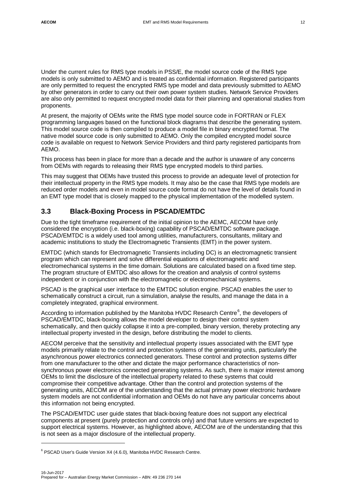Under the current rules for RMS type models in PSS/E, the model source code of the RMS type models is only submitted to AEMO and is treated as confidential information. Registered participants are only permitted to request the encrypted RMS type model and data previously submitted to AEMO by other generators in order to carry out their own power system studies. Network Service Providers are also only permitted to request encrypted model data for their planning and operational studies from proponents.

At present, the majority of OEMs write the RMS type model source code in FORTRAN or FLEX programming languages based on the functional block diagrams that describe the generating system. This model source code is then compiled to produce a model file in binary encrypted format. The native model source code is only submitted to AEMO. Only the compiled encrypted model source code is available on request to Network Service Providers and third party registered participants from AEMO.

This process has been in place for more than a decade and the author is unaware of any concerns from OEMs with regards to releasing their RMS type encrypted models to third parties.

This may suggest that OEMs have trusted this process to provide an adequate level of protection for their intellectual property in the RMS type models. It may also be the case that RMS type models are reduced order models and even in model source code format do not have the level of details found in an EMT type model that is closely mapped to the physical implementation of the modelled system.

# <span id="page-13-0"></span>**3.3 Black-Boxing Process in PSCAD/EMTDC**

Due to the tight timeframe requirement of the initial opinion to the AEMC, AECOM have only considered the encryption (i.e. black-boxing) capability of PSCAD/EMTDC software package. PSCAD/EMTDC is a widely used tool among utilities, manufacturers, consultants, military and academic institutions to study the Electromagnetic Transients (EMT) in the power system.

EMTDC (which stands for Electromagnetic Transients including DC) is an electromagnetic transient program which can represent and solve differential equations of electromagnetic and electromechanical systems in the time domain. Solutions are calculated based on a fixed time step. The program structure of EMTDC also allows for the creation and analysis of control systems independent or in conjunction with the electromagnetic or electromechanical systems.

PSCAD is the graphical user interface to the EMTDC solution engine. PSCAD enables the user to schematically construct a circuit, run a simulation, analyse the results, and manage the data in a completely integrated, graphical environment.

According to information published by the Manitoba HVDC Research Centre<sup>[6](#page-13-1)</sup>, the developers of PSCAD/EMTDC, black-boxing allows the model developer to design their control system schematically, and then quickly collapse it into a pre-compiled, binary version, thereby protecting any intellectual property invested in the design, before distributing the model to clients.

AECOM perceive that the sensitivity and intellectual property issues associated with the EMT type models primarily relate to the control and protection systems of the generating units, particularly the asynchronous power electronics connected generators. These control and protection systems differ from one manufacturer to the other and dictate the major performance characteristics of nonsynchronous power electronics connected generating systems. As such, there is major interest among OEMs to limit the disclosure of the intellectual property related to these systems that could compromise their competitive advantage. Other than the control and protection systems of the generating units, AECOM are of the understanding that the actual primary power electronic hardware system models are not confidential information and OEMs do not have any particular concerns about this information not being encrypted.

The PSCAD/EMTDC user guide states that black-boxing feature does not support any electrical components at present (purely protection and controls only) and that future versions are expected to support electrical systems. However, as highlighted above, AECOM are of the understanding that this is not seen as a major disclosure of the intellectual property.

<span id="page-13-1"></span><sup>&</sup>lt;sup>6</sup> PSCAD User's Guide Version X4 (4.6.0), Manitoba HVDC Research Centre.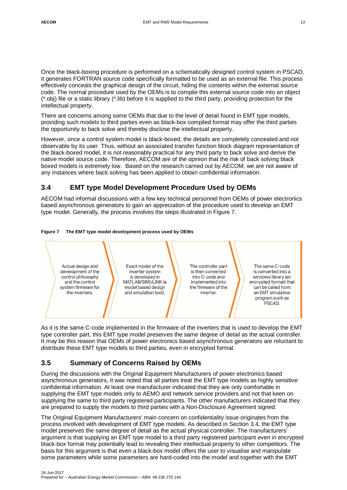Once the black-boxing procedure is performed on a schematically designed control system in PSCAD, it generates FORTRAN source code specifically formatted to be used as an external file. This process effectively conceals the graphical design of the circuit, hiding the contents within the external source code. The normal procedure used by the OEMs is to compile this external source code into an object (\*.obj) file or a static library (\*.lib) before it is supplied to the third party, providing protection for the intellectual property.

There are concerns among some OEMs that due to the level of detail found in EMT type models, providing such models to third parties even as black-box compiled format may offer the third parties the opportunity to back solve and thereby disclose the intellectual property.

However, once a control system model is black-boxed, the details are completely concealed and not observable by its user. Thus, without an associated transfer function block diagram representation of the black-boxed model, it is not reasonably practical for any third party to back solve and derive the native model source code. Therefore, AECOM are of the opinion that the risk of back solving black boxed models is extremely low. Based on the research carried out by AECOM, we are not aware of any instances where back solving has been applied to obtain confidential information.

# <span id="page-14-0"></span>**3.4 EMT type Model Development Procedure Used by OEMs**

AECOM had informal discussions with a few key technical personnel from OEMs of power electronics based asynchronous generators to gain an appreciation of the procedure used to develop an EMT type model. Generally, the process involves the steps illustrated in [Figure 7.](#page-14-2)

<span id="page-14-2"></span>

#### **Figure 7 The EMT type model development process used by OEMs**

As it is the same C-code implemented in the firmware of the inverters that is used to develop the EMT type controller part, this EMT type model preserves the same degree of detail as the actual controller. It may be this reason that OEMs of power electronics based asynchronous generators are reluctant to distribute these EMT type models to third parties, even in encrypted format.

# <span id="page-14-1"></span>**3.5 Summary of Concerns Raised by OEMs**

During the discussions with the Original Equipment Manufacturers of power electronics based asynchronous generators, it was noted that all parties treat the EMT type models as highly sensitive confidential information. At least one manufacturer indicated that they are only comfortable in supplying the EMT type models only to AEMO and network service providers and not that keen on supplying the same to third party registered participants. The other manufacturers indicated that they are prepared to supply the models to third parties with a Non-Disclosure Agreement signed.

The Original Equipment Manufacturers' main concern on confidentiality issue originates from the process involved with development of EMT type models. As described in Section [3.4,](#page-14-0) the EMT type model preserves the same degree of detail as the actual physical controller. The manufacturers' argument is that supplying an EMT type model to a third party registered participant even in encrypted black-box format may potentially lead to revealing their intellectual property to other competitors. The basis for this argument is that even a black-box model offers the user to visualise and manipulate some parameters while some parameters are hard-coded into the model and together with the EMT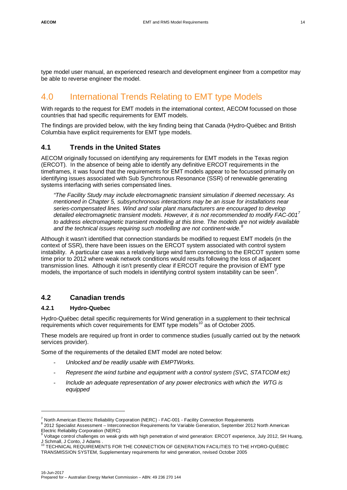type model user manual, an experienced research and development engineer from a competitor may be able to reverse engineer the model.

# <span id="page-15-0"></span>4.0 International Trends Relating to EMT type Models

With regards to the request for EMT models in the international context, AECOM focussed on those countries that had specific requirements for EMT models.

The findings are provided below, with the key finding being that Canada (Hydro-Québec and British Columbia have explicit requirements for EMT type models.

# <span id="page-15-1"></span>**4.1 Trends in the United States**

AECOM originally focussed on identifying any requirements for EMT models in the Texas region (ERCOT). In the absence of being able to identify any definitive ERCOT requirements in the timeframes, it was found that the requirements for EMT models appear to be focussed primarily on identifying issues associated with Sub Synchronous Resonance (SSR) of renewable generating systems interfacing with series compensated lines.

*"The Facility Study may include electromagnetic transient simulation if deemed necessary. As mentioned in Chapter 5, subsynchronous interactions may be an issue for installations near series-compensated lines. Wind and solar plant manufacturers are encouraged to develop detailed electromagnetic transient models. However, it is not recommended to modify FAC-00[1](#page-15-3)<sup>7</sup> to address electromagnetic transient modelling at this time. The models are not widely available and the technical issues requiring such modelling are not continent-wide[.](#page-15-4)<sup>8</sup>*

Although it wasn't identified that connection standards be modified to request EMT models (in the context of SSR), there have been issues on the ERCOT system associated with control system instability. A particular case was a relatively large wind farm connecting to the ERCOT system some time prior to 2012 where weak network conditions would results following the loss of adjacent transmission lines. Although it isn't presently clear if ERCOT require the provision of EMT type models, the importance of such models in identifying control system instability can be seen<sup>[9](#page-15-5)</sup>.

# <span id="page-15-2"></span>**4.2 Canadian trends**

#### **4.2.1 Hydro-Quebec**

Hydro-Québec detail specific requirements for Wind generation in a supplement to their technical requirements which cover requirements for EMT type models<sup>[10](#page-15-6)</sup> as of October 2005.

These models are required up front in order to commence studies (usually carried out by the network services provider).

Some of the requirements of the detailed EMT model are noted below:

- *Unlocked and be readily usable with EMPTWorks.*
- *Represent the wind turbine and equipment with a control system (SVC, STATCOM etc)*
- *Include an adequate representation of any power electronics with which the WTG is equipped*

<span id="page-15-3"></span><sup>&</sup>lt;sup>7</sup> North American Electric Reliability Corporation (NERC) - FAC-001 - Facility Connection Requirements

<span id="page-15-4"></span><sup>&</sup>lt;sup>8</sup> 2012 Specialist Assessment – Interconnection Requirements for Variable Generation, September 2012 North American

<span id="page-15-5"></span>Electric Reliability Corporation (NERC)<br><sup>9</sup> Voltage control challenges on weak grids with high penetration of wind generation: ERCOT experience, July 2012, SH Huang,

<span id="page-15-6"></span>J Schmall, J Conto, J Adams . <sup>10</sup> TECHNICAL REQUIREMENTS FOR THE CONNECTION OF GENERATION FACILITIES TO THE HYDRO-QUÉBEC TRANSMISSION SYSTEM, Supplementary requirements for wind generation, revised October 2005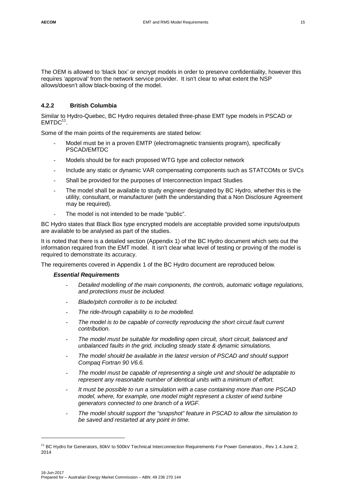The OEM is allowed to 'black box' or encrypt models in order to preserve confidentiality, however this requires 'approval' from the network service provider. It isn't clear to what extent the NSP allows/doesn't allow black-boxing of the model.

#### **4.2.2 British Columbia**

Similar to Hydro-Quebec, BC Hydro requires detailed three-phase EMT type models in PSCAD or  $EMTDC<sup>11</sup>$  $EMTDC<sup>11</sup>$  $EMTDC<sup>11</sup>$ .

Some of the main points of the requirements are stated below:

- Model must be in a proven EMTP (electromagnetic transients program), specifically PSCAD/EMTDC
- Models should be for each proposed WTG type and collector network
- Include any static or dynamic VAR compensating components such as STATCOMs or SVCs
- Shall be provided for the purposes of Interconnection Impact Studies
- The model shall be available to study engineer designated by BC Hydro, whether this is the utility, consultant, or manufacturer (with the understanding that a Non Disclosure Agreement may be required).
- The model is not intended to be made "public".

BC Hydro states that Black Box type encrypted models are acceptable provided some inputs/outputs are available to be analysed as part of the studies.

It is noted that there is a detailed section (Appendix 1) of the BC Hydro document which sets out the information required from the EMT model. It isn't clear what level of testing or proving of the model is required to demonstrate its accuracy.

The requirements covered in Appendix 1 of the BC Hydro document are reproduced below.

#### *Essential Requirements*

- *Detailed modelling of the main components, the controls, automatic voltage regulations, and protections must be included.*
- *Blade/pitch controller is to be included.*
- The ride-through capability is to be modelled.
- *The model is to be capable of correctly reproducing the short circuit fault current contribution.*
- *The model must be suitable for modelling open circuit, short circuit, balanced and unbalanced faults in the grid, including steady state & dynamic simulations.*
- *The model should be available in the latest version of PSCAD and should support Compaq Fortran 90 V6.6.*
- *The model must be capable of representing a single unit and should be adaptable to represent any reasonable number of identical units with a minimum of effort.*
- It must be possible to run a simulation with a case containing more than one PSCAD *model, where, for example, one model might represent a cluster of wind turbine generators connected to one branch of a WGF.*
- *The model should support the "snapshot" feature in PSCAD to allow the simulation to be saved and restarted at any point in time.*

<span id="page-16-0"></span><sup>&</sup>lt;sup>11</sup> BC Hydro for Generators, 60kV to 500kV Technical Interconnection Requirements For Power Generators, Rev 1.4 June 2, 2014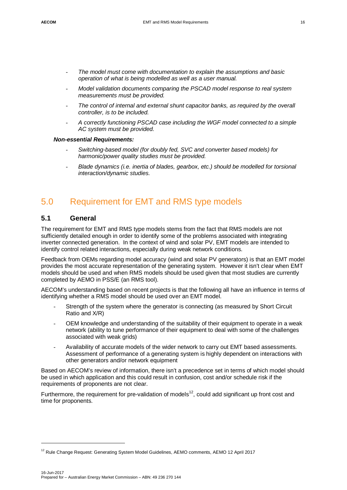- *The model must come with documentation to explain the assumptions and basic operation of what is being modelled as well as a user manual.*
- *Model validation documents comparing the PSCAD model response to real system measurements must be provided.*
- *The control of internal and external shunt capacitor banks, as required by the overall controller, is to be included.*
- *A correctly functioning PSCAD case including the WGF model connected to a simple AC system must be provided.*

#### *Non-essential Requirements:*

- *Switching-based model (for doubly fed, SVC and converter based models) for harmonic/power quality studies must be provided.*
- *Blade dynamics (i.e. inertia of blades, gearbox, etc.) should be modelled for torsional interaction/dynamic studies.*

# <span id="page-17-0"></span>5.0 Requirement for EMT and RMS type models

### <span id="page-17-1"></span>**5.1 General**

The requirement for EMT and RMS type models stems from the fact that RMS models are not sufficiently detailed enough in order to identify some of the problems associated with integrating inverter connected generation. In the context of wind and solar PV, EMT models are intended to identify control related interactions, especially during weak network conditions.

Feedback from OEMs regarding model accuracy (wind and solar PV generators) is that an EMT model provides the most accurate representation of the generating system. However it isn't clear when EMT models should be used and when RMS models should be used given that most studies are currently completed by AEMO in PSS/E (an RMS tool).

AECOM's understanding based on recent projects is that the following all have an influence in terms of identifying whether a RMS model should be used over an EMT model.

- Strength of the system where the generator is connecting (as measured by Short Circuit Ratio and X/R)
- OEM knowledge and understanding of the suitability of their equipment to operate in a weak network (ability to tune performance of their equipment to deal with some of the challenges associated with weak grids)
- Availability of accurate models of the wider network to carry out EMT based assessments. Assessment of performance of a generating system is highly dependent on interactions with other generators and/or network equipment

Based on AECOM's review of information, there isn't a precedence set in terms of which model should be used in which application and this could result in confusion, cost and/or schedule risk if the requirements of proponents are not clear.

Furthermore, the requirement for pre-validation of models<sup>[12](#page-17-2)</sup>, could add significant up front cost and time for proponents.

<span id="page-17-2"></span><sup>&</sup>lt;sup>12</sup> Rule Change Request: Generating System Model Guidelines, AEMO comments, AEMO 12 April 2017